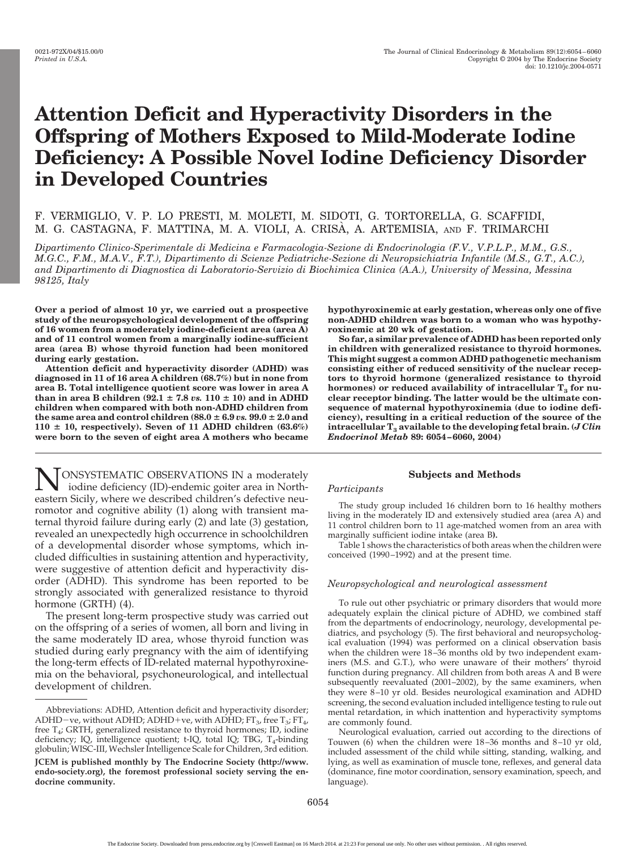# **Attention Deficit and Hyperactivity Disorders in the Offspring of Mothers Exposed to Mild-Moderate Iodine Deficiency: A Possible Novel Iodine Deficiency Disorder in Developed Countries**

## F. VERMIGLIO, V. P. LO PRESTI, M. MOLETI, M. SIDOTI, G. TORTORELLA, G. SCAFFIDI, M. G. CASTAGNA, F. MATTINA, M. A. VIOLI, A. CRISA, A. ARTEMISIA, AND F. TRIMARCHI

*Dipartimento Clinico-Sperimentale di Medicina e Farmacologia-Sezione di Endocrinologia (F.V., V.P.L.P., M.M., G.S., M.G.C., F.M., M.A.V., F.T.), Dipartimento di Scienze Pediatriche-Sezione di Neuropsichiatria Infantile (M.S., G.T., A.C.), and Dipartimento di Diagnostica di Laboratorio-Servizio di Biochimica Clinica (A.A.), University of Messina, Messina 98125, Italy*

**Over a period of almost 10 yr, we carried out a prospective study of the neuropsychological development of the offspring of 16 women from a moderately iodine-deficient area (area A) and of 11 control women from a marginally iodine-sufficient area (area B) whose thyroid function had been monitored during early gestation.**

**Attention deficit and hyperactivity disorder (ADHD) was diagnosed in 11 of 16 area A children (68.7%) but in none from area B. Total intelligence quotient score was lower in area A than in area B children (92.1**  $\pm$  **7.8** *vs.*  $110 \pm 10$ ) and in ADHD **children when compared with both non-ADHD children from** the same area and control children  $(88.0 \pm 6.9 \text{ vs. } 99.0 \pm 2.0 \text{ and } 1)$  $110 \pm 10$ , respectively). Seven of 11 ADHD children  $(63.6\%)$ **were born to the seven of eight area A mothers who became**

**NONSYSTEMATIC OBSERVATIONS IN a moderately** iodine deficiency (ID)-endemic goiter area in Northeastern Sicily, where we described children's defective neuromotor and cognitive ability (1) along with transient maternal thyroid failure during early (2) and late (3) gestation, revealed an unexpectedly high occurrence in schoolchildren of a developmental disorder whose symptoms, which included difficulties in sustaining attention and hyperactivity, were suggestive of attention deficit and hyperactivity disorder (ADHD). This syndrome has been reported to be strongly associated with generalized resistance to thyroid hormone (GRTH) (4).

The present long-term prospective study was carried out on the offspring of a series of women, all born and living in the same moderately ID area, whose thyroid function was studied during early pregnancy with the aim of identifying the long-term effects of ID-related maternal hypothyroxinemia on the behavioral, psychoneurological, and intellectual development of children.

**hypothyroxinemic at early gestation, whereas only one of five non-ADHD children was born to a woman who was hypothyroxinemic at 20 wk of gestation.**

**So far, a similar prevalence of ADHD has been reported only in children with generalized resistance to thyroid hormones. This might suggest a common ADHD pathogenetic mechanism consisting either of reduced sensitivity of the nuclear receptors to thyroid hormone (generalized resistance to thyroid** hormones) or reduced availability of intracellular T<sub>3</sub> for nu**clear receptor binding. The latter would be the ultimate consequence of maternal hypothyroxinemia (due to iodine deficiency), resulting in a critical reduction of the source of the intracellular T3 available to the developing fetal brain. (***J Clin Endocrinol Metab* **89: 6054 – 6060, 2004)**

## **Subjects and Methods**

## *Participants*

The study group included 16 children born to 16 healthy mothers living in the moderately ID and extensively studied area (area A) and 11 control children born to 11 age-matched women from an area with marginally sufficient iodine intake (area B**).**

Table 1 shows the characteristics of both areas when the children were conceived (1990-1992) and at the present time.

## *Neuropsychological and neurological assessment*

To rule out other psychiatric or primary disorders that would more adequately explain the clinical picture of ADHD, we combined staff from the departments of endocrinology, neurology, developmental pediatrics, and psychology (5). The first behavioral and neuropsychological evaluation (1994) was performed on a clinical observation basis when the children were 18 –36 months old by two independent examiners (M.S. and G.T.), who were unaware of their mothers' thyroid function during pregnancy. All children from both areas A and B were subsequently reevaluated (2001–2002), by the same examiners, when they were 8-10 yr old. Besides neurological examination and ADHD screening, the second evaluation included intelligence testing to rule out mental retardation, in which inattention and hyperactivity symptoms are commonly found.

Neurological evaluation, carried out according to the directions of Touwen (6) when the children were 18 –36 months and 8 –10 yr old, included assessment of the child while sitting, standing, walking, and lying, as well as examination of muscle tone, reflexes, and general data (dominance, fine motor coordination, sensory examination, speech, and language).

Abbreviations: ADHD, Attention deficit and hyperactivity disorder; ADHD—ve, without ADHD; ADHD+ve, with ADHD;  $FT_3$ , free  $T_3$ ;  $FT_4$ , free  $T_{4}$ ; GRTH, generalized resistance to thyroid hormones; ID, iodine deficiency; IQ, intelligence quotient; t-IQ, total IQ; TBG, T<sub>4</sub>-binding globulin; WISC-III, Wechsler Intelligence Scale for Children, 3rd edition. **JCEM is published monthly by The Endocrine Society (http://www. endo-society.org), the foremost professional society serving the endocrine community.**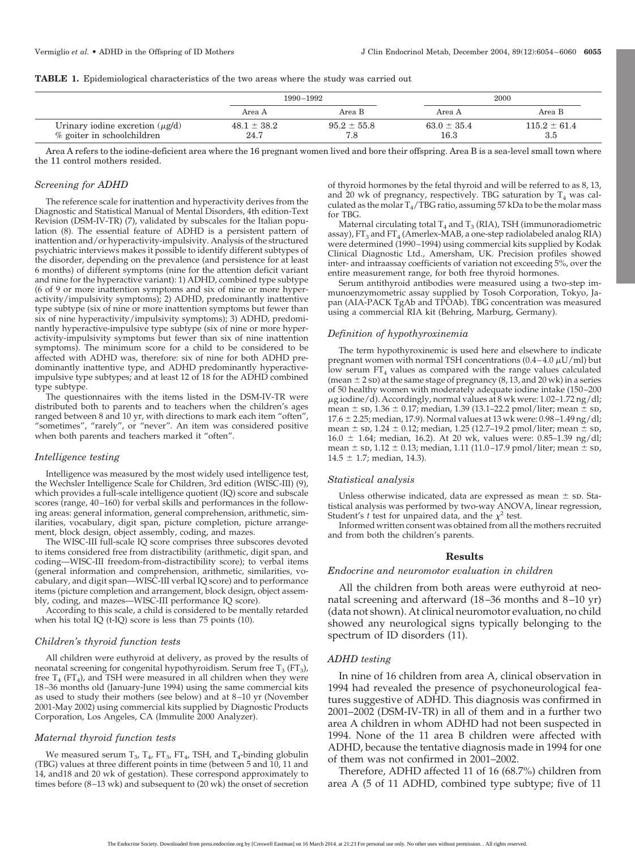| <b>TABLE 1.</b> Epidemiological characteristics of the two areas where the study was carried out |  |  |  |  |
|--------------------------------------------------------------------------------------------------|--|--|--|--|
|                                                                                                  |  |  |  |  |

|                                                                    |                         | 1990-1992              |                             | 2000                    |  |  |
|--------------------------------------------------------------------|-------------------------|------------------------|-----------------------------|-------------------------|--|--|
|                                                                    | Area A                  | Area B                 | Area A                      | Area B                  |  |  |
| Urinary iodine excretion $(\mu g/d)$<br>% goiter in schoolchildren | $48.1 \pm 38.2$<br>24.7 | $95.2 \pm 55.8$<br>7.8 | $63.0 \pm 35.4$<br>$16.3\,$ | $115.2 \pm 61.4$<br>3.5 |  |  |

Area A refers to the iodine-deficient area where the 16 pregnant women lived and bore their offspring. Area B is a sea-level small town where the 11 control mothers resided.

## *Screening for ADHD*

The reference scale for inattention and hyperactivity derives from the Diagnostic and Statistical Manual of Mental Disorders, 4th edition-Text Revision (DSM-IV-TR) (7), validated by subscales for the Italian population (8). The essential feature of ADHD is a persistent pattern of inattention and/or hyperactivity-impulsivity. Analysis of the structured psychiatric interviews makes it possible to identify different subtypes of the disorder, depending on the prevalence (and persistence for at least 6 months) of different symptoms (nine for the attention deficit variant and nine for the hyperactive variant): 1) ADHD, combined type subtype (6 of 9 or more inattention symptoms and six of nine or more hyperactivity/impulsivity symptoms); 2) ADHD, predominantly inattentive type subtype (six of nine or more inattention symptoms but fewer than six of nine hyperactivity/impulsivity symptoms); 3) ADHD, predominantly hyperactive-impulsive type subtype (six of nine or more hyperactivity-impulsivity symptoms but fewer than six of nine inattention symptoms). The minimum score for a child to be considered to be affected with ADHD was, therefore: six of nine for both ADHD predominantly inattentive type, and ADHD predominantly hyperactiveimpulsive type subtypes; and at least 12 of 18 for the ADHD combined type subtype.

The questionnaires with the items listed in the DSM-IV-TR were distributed both to parents and to teachers when the children's ages ranged between 8 and 10 yr, with directions to mark each item "often", "sometimes", "rarely", or "never". An item was considered positive when both parents and teachers marked it "often".

#### *Intelligence testing*

Intelligence was measured by the most widely used intelligence test, the Wechsler Intelligence Scale for Children, 3rd edition (WISC-III) (9), which provides a full-scale intelligence quotient (IQ) score and subscale scores (range, 40-160) for verbal skills and performances in the following areas: general information, general comprehension, arithmetic, similarities, vocabulary, digit span, picture completion, picture arrangement, block design, object assembly, coding, and mazes.

The WISC-III full-scale IQ score comprises three subscores devoted to items considered free from distractibility (arithmetic, digit span, and coding—WISC-III freedom-from-distractibility score); to verbal items (general information and comprehension, arithmetic, similarities, vocabulary, and digit span—WISC-III verbal IQ score) and to performance items (picture completion and arrangement, block design, object assembly, coding, and mazes—WISC-III performance IQ score).

According to this scale, a child is considered to be mentally retarded when his total IQ (t-IQ) score is less than 75 points (10).

## *Children's thyroid function tests*

All children were euthyroid at delivery, as proved by the results of neonatal screening for congenital hypothyroidism. Serum free  $T_3$  (FT<sub>3</sub>), free  $T_4$  (FT<sub>4</sub>), and TSH were measured in all children when they were 18 –36 months old (January-June 1994) using the same commercial kits as used to study their mothers (see below) and at 8 –10 yr (November 2001-May 2002) using commercial kits supplied by Diagnostic Products Corporation, Los Angeles, CA (Immulite 2000 Analyzer).

#### *Maternal thyroid function tests*

We measured serum  $T_3$ ,  $T_4$ ,  $FT_3$ ,  $FT_4$ , TSH, and  $T_4$ -binding globulin (TBG) values at three different points in time (between 5 and 10, 11 and 14, and18 and 20 wk of gestation). These correspond approximately to times before  $(8-13 \text{ wk})$  and subsequent to  $(20 \text{ wk})$  the onset of secretion of thyroid hormones by the fetal thyroid and will be referred to as 8, 13, and 20 wk of pregnancy, respectively. TBG saturation by  $T_4$  was calculated as the molar  $T_4/TBG$  ratio, assuming 57 kDa to be the molar mass for TBG.

Maternal circulating total  $T_4$  and  $T_3$  (RIA), TSH (immunoradiometric assay),  $FT_3$  and  $FT_4$  (Amerlex-MAB, a one-step radiolabeled analog RIA) were determined (1990 –1994) using commercial kits supplied by Kodak Clinical Diagnostic Ltd., Amersham, UK. Precision profiles showed inter- and intraassay coefficients of variation not exceeding 5%, over the entire measurement range, for both free thyroid hormones.

Serum antithyroid antibodies were measured using a two-step immunoenzymometric assay supplied by Tosoh Corporation, Tokyo, Japan (AIA-PACK TgAb and TPOAb). TBG concentration was measured using a commercial RIA kit (Behring, Marburg, Germany).

## *Definition of hypothyroxinemia*

The term hypothyroxinemic is used here and elsewhere to indicate pregnant women with normal TSH concentrations  $(0.4-4.0 \,\mu\text{U/ml})$  but low serum  $FT_4$  values as compared with the range values calculated (mean  $\pm$  2 sp) at the same stage of pregnancy (8, 13, and 20 wk) in a series of 50 healthy women with moderately adequate iodine intake (150 –200  $\mu$ g iodine/d). Accordingly, normal values at 8 wk were: 1.02–1.72 ng/dl; mean  $\pm$  sp, 1.36  $\pm$  0.17; median, 1.39 (13.1–22.2 pmol/liter; mean  $\pm$  sp,  $17.6 \pm 2.25$ ; median, 17.9). Normal values at 13 wk were: 0.98-1.49 ng/dl; mean  $\pm$  sp, 1.24  $\pm$  0.12; median, 1.25 (12.7–19.2 pmol/liter; mean  $\pm$  sp,  $16.0 \pm 1.64$ ; median, 16.2). At 20 wk, values were: 0.85-1.39 ng/dl; mean  $\pm$  sp, 1.12  $\pm$  0.13; median, 1.11 (11.0–17.9 pmol/liter; mean  $\pm$  sp,  $14.5 \pm 1.7$ ; median, 14.3).

#### *Statistical analysis*

Unless otherwise indicated, data are expressed as mean  $\pm$  sp. Statistical analysis was performed by two-way ANOVA, linear regression, Student's *t* test for unpaired data, and the  $\chi^2$  test.

Informed written consent was obtained from all the mothers recruited and from both the children's parents.

#### **Results**

## *Endocrine and neuromotor evaluation in children*

All the children from both areas were euthyroid at neonatal screening and afterward (18–36 months and 8–10 yr) (data not shown). At clinical neuromotor evaluation, no child showed any neurological signs typically belonging to the spectrum of ID disorders (11).

## *ADHD testing*

In nine of 16 children from area A, clinical observation in 1994 had revealed the presence of psychoneurological features suggestive of ADHD. This diagnosis was confirmed in 2001–2002 (DSM-IV-TR) in all of them and in a further two area A children in whom ADHD had not been suspected in 1994. None of the 11 area B children were affected with ADHD, because the tentative diagnosis made in 1994 for one of them was not confirmed in 2001–2002.

Therefore, ADHD affected 11 of 16 (68.7%) children from area A (5 of 11 ADHD, combined type subtype; five of 11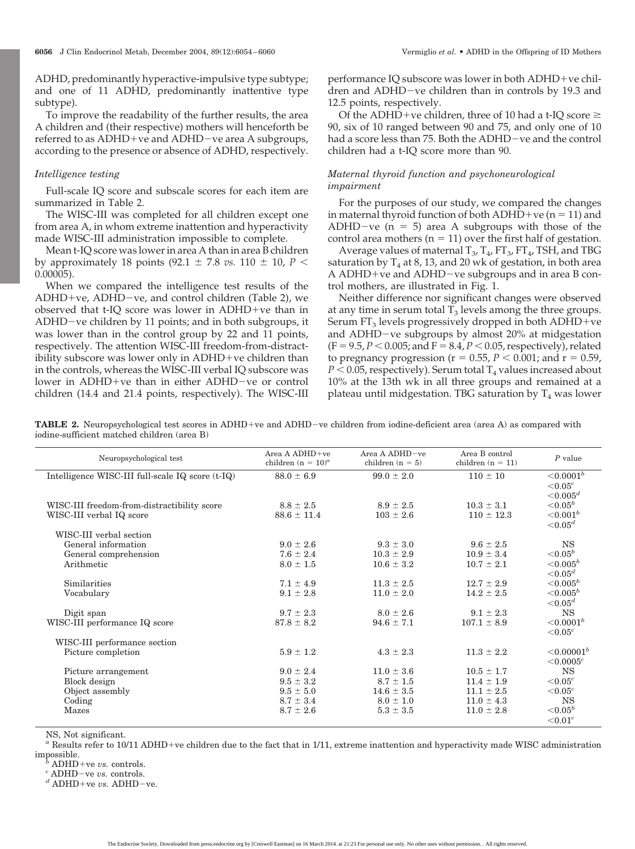ADHD, predominantly hyperactive-impulsive type subtype; and one of 11 ADHD, predominantly inattentive type subtype).

To improve the readability of the further results, the area A children and (their respective) mothers will henceforth be referred to as ADHD+ve and ADHD-ve area A subgroups, according to the presence or absence of ADHD, respectively.

## *Intelligence testing*

Full-scale IQ score and subscale scores for each item are summarized in Table 2.

The WISC-III was completed for all children except one from area A, in whom extreme inattention and hyperactivity made WISC-III administration impossible to complete.

Mean t-IQ score was lower in area A than in area B children by approximately 18 points (92.1  $\pm$  7.8 *vs.* 110  $\pm$  10, *P* < 0.00005).

When we compared the intelligence test results of the ADHD+ve, ADHD-ve, and control children (Table 2), we observed that t-IQ score was lower in ADHD-ve than in  $ADHD$  – ve children by 11 points; and in both subgroups, it was lower than in the control group by 22 and 11 points, respectively. The attention WISC-III freedom-from-distractibility subscore was lower only in ADHD-ve children than in the controls, whereas the WISC-III verbal IQ subscore was lower in ADHD+ve than in either ADHD-ve or control children (14.4 and 21.4 points, respectively). The WISC-III

performance IQ subscore was lower in both ADHD-ve children and  $ADHD$  ve children than in controls by 19.3 and 12.5 points, respectively.

Of the ADHD+ve children, three of 10 had a t-IQ score  $\geq$ 90, six of 10 ranged between 90 and 75, and only one of 10 had a score less than 75. Both the ADHD-ve and the control children had a t-IQ score more than 90.

## *Maternal thyroid function and psychoneurological impairment*

For the purposes of our study, we compared the changes in maternal thyroid function of both  $ADHD +ve$  (n = 11) and ADHD-ve ( $n = 5$ ) area A subgroups with those of the control area mothers ( $n = 11$ ) over the first half of gestation.

Average values of maternal  $T_3$ ,  $T_4$ ,  $FT_3$ ,  $FT_4$ , TSH, and TBG saturation by  $T_4$  at 8, 13, and 20 wk of gestation, in both area A ADHD+ve and ADHD-ve subgroups and in area B control mothers, are illustrated in Fig. 1.

Neither difference nor significant changes were observed at any time in serum total  $\overline{T}_3$  levels among the three groups. Serum FT $_{3}$  levels progressively dropped in both ADHD+ve and ADHD-ve subgroups by almost 20% at midgestation  $(F = 9.5, P < 0.005;$  and  $F = 8.4, P < 0.05$ , respectively), related to pregnancy progression ( $r = 0.55$ ,  $P < 0.001$ ; and  $r = 0.59$ ,  $P < 0.05$ , respectively). Serum total  $T<sub>4</sub>$  values increased about 10% at the 13th wk in all three groups and remained at a plateau until midgestation. TBG saturation by  $T_4$  was lower

**TABLE 2.** Neuropsychological test scores in ADHD+ve and ADHD-ve children from iodine-deficient area (area A) as compared with iodine-sufficient matched children (area B)

| Neuropsychological test                          | Area A ADHD+ve<br>children (n = $10)^a$ | Area A ADHD-ve<br>children ( $n = 5$ ) | Area B control<br>children ( $n = 11$ ) | $P$ value               |
|--------------------------------------------------|-----------------------------------------|----------------------------------------|-----------------------------------------|-------------------------|
| Intelligence WISC-III full-scale IQ score (t-IQ) | $88.0 \pm 6.9$                          | $99.0 \pm 2.0$                         | $110 \pm 10$                            | $<$ 0.0001 <sup>b</sup> |
|                                                  |                                         |                                        |                                         | ${<}0.05^{c}$           |
|                                                  |                                         |                                        |                                         | $<$ 0.005 $^d$          |
| WISC-III freedom-from-distractibility score      | $8.8 \pm 2.5$                           | $8.9 \pm 2.5$                          | $10.3 \pm 3.1$                          | ${<}0.05^b$             |
| WISC-III verbal IQ score                         | $88.6 \pm 11.4$                         | $103 \pm 2.6$                          | $110 \pm 12.3$                          | ${<}0.001^b$            |
|                                                  |                                         |                                        |                                         | $<$ 0.05 $^d$           |
| WISC-III verbal section                          |                                         |                                        |                                         |                         |
| General information                              | $9.0 \pm 2.6$                           | $9.3 \pm 3.0$                          | $9.6 \pm 2.5$                           | NS                      |
| General comprehension                            | $7.6 \pm 2.4$                           | $10.3 \pm 2.9$                         | $10.9 \pm 3.4$                          | ${<}0.05^b$             |
| Arithmetic                                       | $8.0 \pm 1.5$                           | $10.6 \pm 3.2$                         | $10.7 \pm 2.1$                          | ${<}0.005^b$            |
|                                                  |                                         |                                        |                                         | ${<}0.05^d$             |
| Similarities                                     | $7.1 \pm 4.9$                           | $11.3 \pm 2.5$                         | $12.7 \pm 2.9$                          | ${<}0.005^b$            |
| Vocabulary                                       | $9.1 \pm 2.8$                           | $11.0 \pm 2.0$                         | $14.2 \pm 2.5$                          | ${<}0.005^b$            |
|                                                  |                                         |                                        |                                         | ${<}0.05^d$             |
| Digit span                                       | $9.7 \pm 2.3$                           | $8.0 \pm 2.6$                          | $9.1 \pm 2.3$                           | <b>NS</b>               |
| WISC-III performance IQ score                    | $87.8 \pm 8.2$                          | $94.6 \pm 7.1$                         | $107.1 \pm 8.9$                         | $< 0.0001^b$            |
|                                                  |                                         |                                        |                                         | ${<}0.05^{c}$           |
| WISC-III performance section                     |                                         |                                        |                                         |                         |
| Picture completion                               | $5.9 \pm 1.2$                           | $4.3 \pm 2.3$                          | $11.3 \pm 2.2$                          | $\leq 0.00001^b$        |
|                                                  |                                         |                                        |                                         | ${<}0.0005^{c}$         |
| Picture arrangement                              | $9.0 \pm 2.4$                           | $11.0 \pm 3.6$                         | $10.5 \pm 1.7$                          | <b>NS</b>               |
| Block design                                     | $9.5 \pm 3.2$                           | $8.7 \pm 1.5$                          | $11.4 \pm 1.9$                          | $\leq 0.05^c$           |
| Object assembly                                  | $9.5 \pm 5.0$                           | $14.6 \pm 3.5$                         | $11.1 \pm 2.5$                          | ${<}0.05^{c}$           |
| Coding                                           | $8.7 \pm 3.4$                           | $8.0 \pm 1.0$                          | $11.0 \pm 4.3$                          | <b>NS</b>               |
| Mazes                                            | $8.7 \pm 2.6$                           | $5.3 \pm 3.5$                          | $11.0 \pm 2.8$                          | ${<}0.05^b$             |
|                                                  |                                         |                                        |                                         | $<$ 0.01 $^{\circ}$     |

NS, Not significant.

*<sup>a</sup>* Results refer to 10/11 ADHD-ve children due to the fact that in 1/11, extreme inattention and hyperactivity made WISC administration  $\overset{\text{impossible.}}{\underset{^\mathcal{C}}{\text{ADHD+ve}}} \overset{\text{vs. controls.}}{\text{both}}$ 

<sup>*c*</sup> ADHD+ve *vs.* controls.<br><sup>*c*</sup> ADHD−ve *vs.* controls.<br><sup>*d*</sup> ADHD+ve *vs.* ADHD−ve.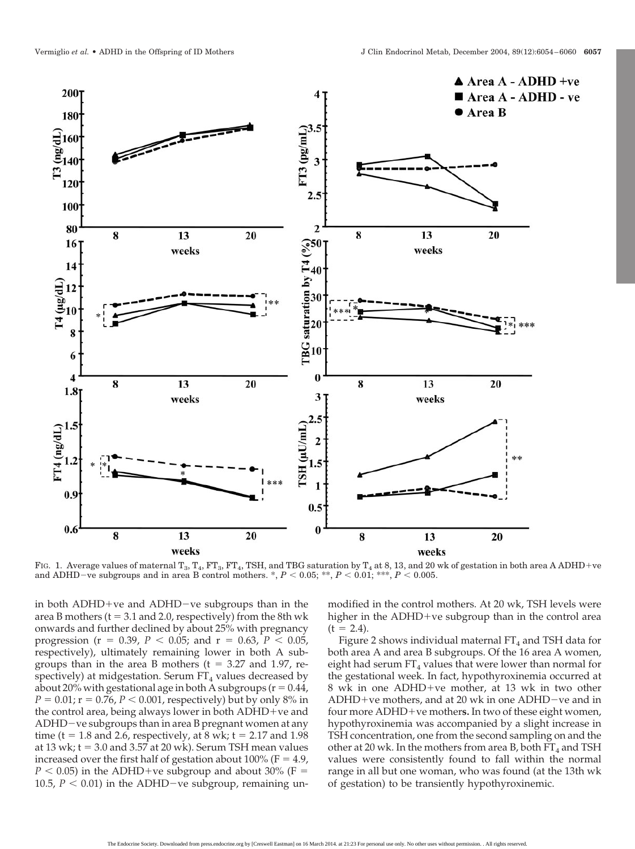

Fig. 1. Average values of maternal T3, T4, FT3, FT4, TSH, and TBG saturation by T4 at 8, 13, and 20 wk of gestation in both area A ADHD+ve and ADHD-ve subgroups and in area B control mothers.  $*$ ,  $P < 0.05$ ;  $**$ ,  $P < 0.01$ ;  $***$ ,  $P < 0.005$ .

in both ADHD+ve and ADHD-ve subgroups than in the area B mothers ( $t = 3.1$  and 2.0, respectively) from the 8th wk onwards and further declined by about 25% with pregnancy progression ( $r = 0.39$ ,  $P < 0.05$ ; and  $r = 0.63$ ,  $P < 0.05$ , respectively), ultimately remaining lower in both A subgroups than in the area B mothers ( $t = 3.27$  and 1.97, respectively) at midgestation. Serum  $FT_4$  values decreased by about 20% with gestational age in both A subgroups ( $r = 0.44$ ,  $P = 0.01$ ;  $r = 0.76$ ,  $P < 0.001$ , respectively) but by only 8% in the control area, being always lower in both ADHD-ve and  $ADHD$  – ve subgroups than in area B pregnant women at any time (t = 1.8 and 2.6, respectively, at 8 wk; t = 2.17 and 1.98 at 13 wk;  $t = 3.0$  and 3.57 at 20 wk). Serum TSH mean values increased over the first half of gestation about  $100\%$  (F = 4.9,  $P < 0.05$ ) in the ADHD+ve subgroup and about 30% (F = 10.5,  $P < 0.01$ ) in the ADHD-ve subgroup, remaining un-

modified in the control mothers. At 20 wk, TSH levels were higher in the ADHD-ve subgroup than in the control area  $(t = 2.4)$ .

Figure 2 shows individual maternal  $FT_4$  and TSH data for both area A and area B subgroups. Of the 16 area A women, eight had serum  $FT_4$  values that were lower than normal for the gestational week. In fact, hypothyroxinemia occurred at 8 wk in one ADHD-ve mother, at 13 wk in two other ADHD+ve mothers, and at 20 wk in one ADHD-ve and in four more ADHD-ve mother**s.** In two of these eight women, hypothyroxinemia was accompanied by a slight increase in TSH concentration, one from the second sampling on and the other at 20 wk. In the mothers from area B, both  $FT_4$  and TSH values were consistently found to fall within the normal range in all but one woman, who was found (at the 13th wk of gestation) to be transiently hypothyroxinemic.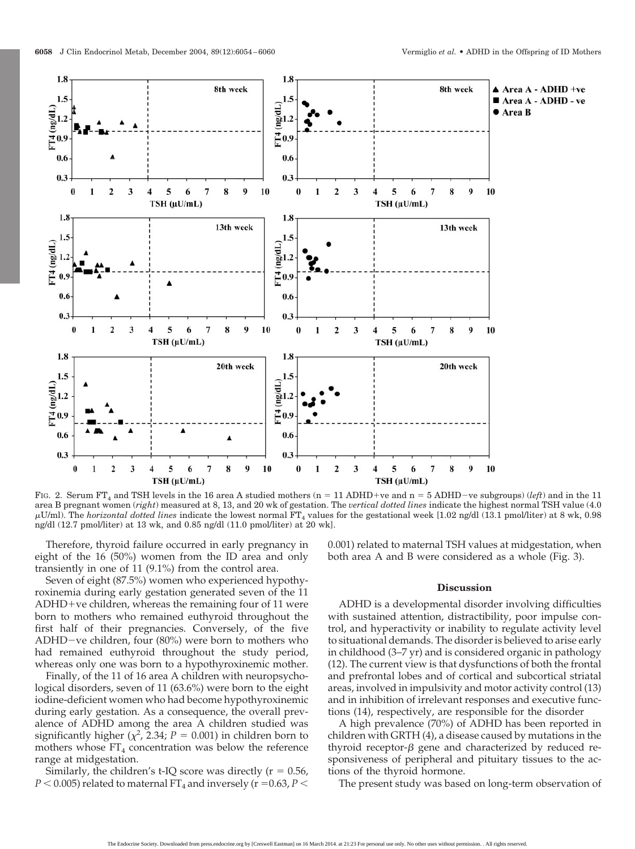

FIG. 2. Serum FT<sub>4</sub> and TSH levels in the 16 area A studied mothers (n = 11 ADHD+ve and n = 5 ADHD–ve subgroups) (*left*) and in the 11 area B pregnant women (*right*) measured at 8, 13, and 20 wk of gestation. The *vertical dotted lines* indicate the highest normal TSH value (4.0  $\mu$ U/ml). The *horizontal dotted lines* indicate the lowest normal FT<sub>4</sub> values for the gestational week [1.02 ng/dl (13.1 pmol/liter) at 8 wk, 0.98 ng/dl (12.7 pmol/liter) at 13 wk, and 0.85 ng/dl (11.0 pmol/liter) at 20 wk].

Therefore, thyroid failure occurred in early pregnancy in eight of the 16 (50%) women from the ID area and only transiently in one of 11 (9.1%) from the control area.

Seven of eight (87.5%) women who experienced hypothyroxinemia during early gestation generated seven of the 11 ADHD-ve children, whereas the remaining four of 11 were born to mothers who remained euthyroid throughout the first half of their pregnancies. Conversely, of the five ADHD-ve children, four (80%) were born to mothers who had remained euthyroid throughout the study period, whereas only one was born to a hypothyroxinemic mother.

Finally, of the 11 of 16 area A children with neuropsychological disorders, seven of 11 (63.6%) were born to the eight iodine-deficient women who had become hypothyroxinemic during early gestation. As a consequence, the overall prevalence of ADHD among the area A children studied was significantly higher  $(\chi^2, 2.34; P = 0.001)$  in children born to mothers whose  $FT_4$  concentration was below the reference range at midgestation.

Similarly, the children's t-IQ score was directly ( $r = 0.56$ ,  $P$  < 0.005) related to maternal FT<sub>4</sub> and inversely (r = 0.63, *P* <

0.001) related to maternal TSH values at midgestation, when both area A and B were considered as a whole (Fig. 3).

## **Discussion**

ADHD is a developmental disorder involving difficulties with sustained attention, distractibility, poor impulse control, and hyperactivity or inability to regulate activity level to situational demands. The disorder is believed to arise early in childhood (3–7 yr) and is considered organic in pathology (12). The current view is that dysfunctions of both the frontal and prefrontal lobes and of cortical and subcortical striatal areas, involved in impulsivity and motor activity control (13) and in inhibition of irrelevant responses and executive functions (14), respectively, are responsible for the disorder

A high prevalence (70%) of ADHD has been reported in children with GRTH (4), a disease caused by mutations in the thyroid receptor- $\beta$  gene and characterized by reduced responsiveness of peripheral and pituitary tissues to the actions of the thyroid hormone.

The present study was based on long-term observation of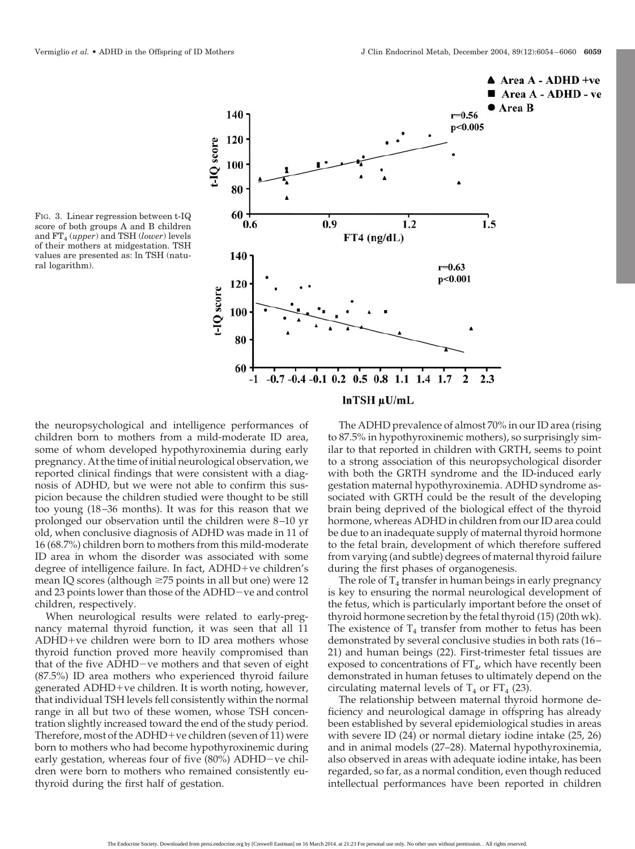Area  $A - ADHD +ve$ Area A - ADHD - ve



FIG. 3. Linear regression between t-IQ score of both groups A and B children and FT4 (*upper*) and TSH (*lower*) levels of their mothers at midgestation. TSH values are presented as: ln TSH (natural logarithm).

the neuropsychological and intelligence performances of children born to mothers from a mild-moderate ID area, some of whom developed hypothyroxinemia during early pregnancy. At the time of initial neurological observation, we reported clinical findings that were consistent with a diagnosis of ADHD, but we were not able to confirm this suspicion because the children studied were thought to be still too young (18 –36 months). It was for this reason that we prolonged our observation until the children were 8 –10 yr old, when conclusive diagnosis of ADHD was made in 11 of 16 (68.7%) children born to mothers from this mild-moderate ID area in whom the disorder was associated with some degree of intelligence failure. In fact, ADHD-ve children's mean IQ scores (although  $\geq$  75 points in all but one) were 12 and 23 points lower than those of the ADHD-ve and control children, respectively.

When neurological results were related to early-pregnancy maternal thyroid function, it was seen that all 11 ADHD-ve children were born to ID area mothers whose thyroid function proved more heavily compromised than that of the five  $ADHD$  ve mothers and that seven of eight (87.5%) ID area mothers who experienced thyroid failure generated ADHD-ve children. It is worth noting, however, that individual TSH levels fell consistently within the normal range in all but two of these women, whose TSH concentration slightly increased toward the end of the study period. Therefore, most of the ADHD-ve children (seven of 11) were born to mothers who had become hypothyroxinemic during early gestation, whereas four of five  $(80\%)$  ADHD-ve children were born to mothers who remained consistently euthyroid during the first half of gestation.

The ADHD prevalence of almost 70% in our ID area (rising to 87.5% in hypothyroxinemic mothers), so surprisingly similar to that reported in children with GRTH, seems to point to a strong association of this neuropsychological disorder with both the GRTH syndrome and the ID-induced early gestation maternal hypothyroxinemia. ADHD syndrome associated with GRTH could be the result of the developing brain being deprived of the biological effect of the thyroid hormone, whereas ADHD in children from our ID area could be due to an inadequate supply of maternal thyroid hormone to the fetal brain, development of which therefore suffered from varying (and subtle) degrees of maternal thyroid failure during the first phases of organogenesis.

The role of  $T_4$  transfer in human beings in early pregnancy is key to ensuring the normal neurological development of the fetus, which is particularly important before the onset of thyroid hormone secretion by the fetal thyroid (15) (20th wk). The existence of  $T_4$  transfer from mother to fetus has been demonstrated by several conclusive studies in both rats (16 – 21) and human beings (22). First-trimester fetal tissues are exposed to concentrations of  $FT_4$ , which have recently been demonstrated in human fetuses to ultimately depend on the circulating maternal levels of  $T_4$  or FT<sub>4</sub> (23).

The relationship between maternal thyroid hormone deficiency and neurological damage in offspring has already been established by several epidemiological studies in areas with severe ID (24) or normal dietary iodine intake (25, 26) and in animal models (27–28). Maternal hypothyroxinemia, also observed in areas with adequate iodine intake, has been regarded, so far, as a normal condition, even though reduced intellectual performances have been reported in children